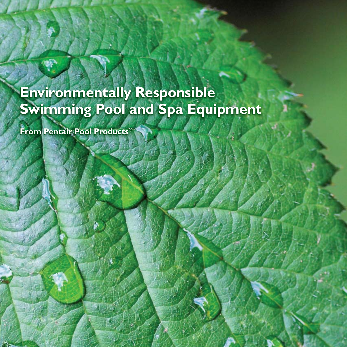# **Environmentally Responsible Environmentally Responsible Swimming Pool and Spa Equipment Swimming Pool and Spa Equipment**

**From Pentair Pool Products® From Pentair Pool Products®**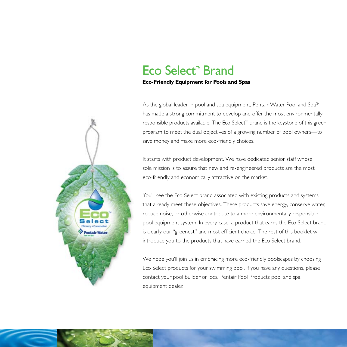### Eco Select™ Brand

#### **Eco-Friendly Equipment for Pools and Spas**

As the global leader in pool and spa equipment, Pentair Water Pool and Spa® has made a strong commitment to develop and offer the most environmentally responsible products available. The Eco Select<sup>™</sup> brand is the keystone of this green program to meet the dual objectives of a growing number of pool owners—to save money and make more eco-friendly choices.

It starts with product development. We have dedicated senior staff whose sole mission is to assure that new and re-engineered products are the most eco-friendly and economically attractive on the market.

You'll see the Eco Select brand associated with existing products and systems that already meet these objectives. These products save energy, conserve water, reduce noise, or otherwise contribute to a more environmentally responsible pool equipment system. In every case, a product that earns the Eco Select brand is clearly our "greenest" and most efficient choice. The rest of this booklet will introduce you to the products that have earned the Eco Select brand.

We hope you'll join us in embracing more eco-friendly poolscapes by choosing Eco Select products for your swimming pool. If you have any questions, please contact your pool builder or local Pentair Pool Products pool and spa equipment dealer.

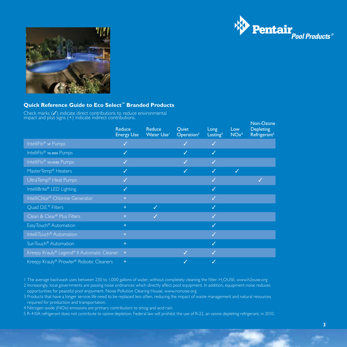



#### **Quick Reference Guide to Eco Select™ Branded Products**

Check marks  $(\checkmark)$  indicate direct contributions to reduce environmental impact and plùs s $\left( +\right)$  indicate indirect contributions.

|                                               | <b>Reduce</b><br><b>Energy Use</b> | Reduce<br>Water Use <sup>1</sup> | <b>Quiet</b><br>Operation <sup>2</sup> | Long<br>Lasting <sup>3</sup> | Low<br>NOx <sup>4</sup> | Non-Ozone<br><b>Depleting</b><br>Refrigerant <sup>5</sup> |
|-----------------------------------------------|------------------------------------|----------------------------------|----------------------------------------|------------------------------|-------------------------|-----------------------------------------------------------|
| IntelliFlo <sup>®</sup> vF Pumps              | ✓                                  |                                  | J                                      | $\checkmark$                 |                         |                                                           |
| IntelliFlo <sup>®</sup> vs-3050 Pumps         | ✓                                  |                                  | ✓                                      | $\checkmark$                 |                         |                                                           |
| IntelliFlo <sup>®</sup> vs+svrs Pumps         | ✓                                  |                                  | ✓                                      | ✓                            |                         |                                                           |
| MasterTemp <sup>®</sup> Heaters               | ✓                                  |                                  | √                                      | ✓                            | ✓                       |                                                           |
| UltraTemp <sup>®</sup> Heat Pumps             | ✓                                  |                                  |                                        | ✓                            |                         | $\checkmark$                                              |
| IntelliBrite® LED Lighting                    | ✓                                  |                                  |                                        | ✓                            |                         |                                                           |
| IntelliChlor® Chlorine Generator              | $\ddot{}$                          |                                  |                                        | $\checkmark$                 |                         |                                                           |
| Quad D.E. <sup>®</sup> Filters                | $+$                                | ✓                                |                                        | ✓                            |                         |                                                           |
| Clean & Clear <sup>®</sup> Plus Filters       | ÷                                  | ✓                                |                                        | ✓                            |                         |                                                           |
| EasyTouch <sup>®</sup> Automation             | $+$                                |                                  |                                        | ✓                            |                         |                                                           |
| IntelliTouch <sup>®</sup> Automation          | ÷                                  |                                  |                                        | ✓                            |                         |                                                           |
| SunTouch <sup>®</sup> Automation              | $+$                                |                                  |                                        | ✓                            |                         |                                                           |
| Kreepy Krauly® Legend® II Automatic Cleaner + |                                    |                                  | ✓                                      | ✓                            |                         |                                                           |
| Kreepy Krauly® Prowler® Robotic Cleaners      | $+$                                |                                  |                                        | ✓                            |                         |                                                           |

 $1$  The average backwash uses between 250 to 1,000 gallons of water, without completely cleaning the filter.  $\rm H_2OUSE$ , www.h2ouse.org

2 Increasingly, local governments are passing noise ordinances which directly affect pool equipment. In addition, equipment noise reduces opportunities for peaceful pool enjoyment. Noise Pollution Clearing House, www.nonoise.org

3 Products that have a longer service life need to be replaced less often, reducing the impact of waste management and natural resources required for production and transportation.

4 Nitrogen oxide (NOx) emissions are primary contributors to smog and acid rain.

5 R-410A refrigerant does not contribute to ozone depletion. Federal law will prohibit the use of R-22, an ozone depleting refrigerant, in 2010.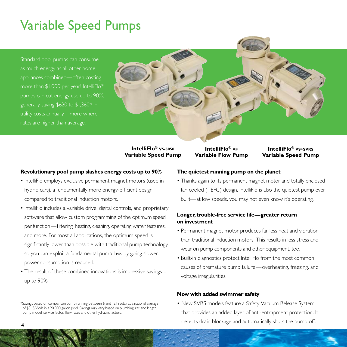### Variable Speed Pumps

Standard pool pumps can consume as much energy as all other home appliances combined—often costing more than \$1,000 per year! IntelliFlo® pumps can cut energy use up to 90%, generally saving \$620 to \$1,360\* in utility costs annually—more where rates are higher than average.



**IntelliFlo® VS-3050 Variable Speed Pump**

#### **Revolutionary pool pump slashes energy costs up to 90%**

- IntelliFlo employs exclusive permanent magnet motors (used in hybrid cars), a fundamentally more energy-efficient design compared to traditional induction motors.
- IntelliFlo includes a variable drive, digital controls, and proprietary software that allow custom programming of the optimum speed per function—filtering, heating, cleaning, operating water features, and more. For most all applications, the optimum speed is significantly lower than possible with traditional pump technology, so you can exploit a fundamental pump law: by going slower, power consumption is reduced.
- The result of these combined innovations is impressive savings... up to 90%.

#### \*Savings based on comparison pump running between 6 and 12 hrs/day at a national average of \$0.15/kWh in a 20,000 gallon pool. Savings may vary based on plumbing size and length, pump model, service factor, flow rates and other hydraulic factors.

#### **The quietest running pump on the planet**

**IntelliFlo® VF Variable Flow Pump**

• Thanks again to its permanent magnet motor and totally enclosed fan cooled (TEFC) design, IntelliFlo is also the quietest pump ever built—at low speeds, you may not even know it's operating.

**IntelliFlo® VS+SVRS Variable Speed Pump**

#### **Longer, trouble-free service life—greater return on investment**

- Permanent magnet motor produces far less heat and vibration than traditional induction motors. This results in less stress and wear on pump components and other equipment, too.
- Built-in diagnostics protect IntelliFlo from the most common causes of premature pump failure—overheating, freezing, and voltage irregularities.

#### **Now with added swimmer safety**

• New SVRS models feature a Safety Vacuum Release System that provides an added layer of anti-entrapment protection. It detects drain blockage and automatically shuts the pump off.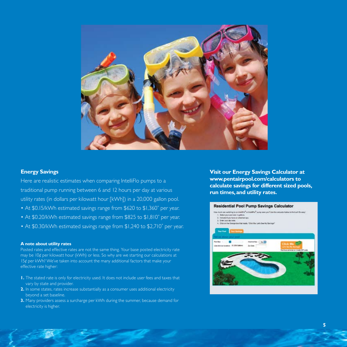

#### **Energy Savings**

Here are realistic estimates when comparing IntelliFlo pumps to a traditional pump running between 6 and 12 hours per day at various utility rates (in dollars per kilowatt hour [kWh]) in a 20,000 gallon pool.

- At \$0.15/kWh estimated savings range from \$620 to \$1,360<sup>\*</sup> per year.
- At \$0.20/kWh estimated savings range from \$825 to \$1,810<sup>\*</sup> per year.
- At \$0.30/kWh estimated savings range from \$1,240 to \$2,710<sup>\*</sup> per year.

#### **A note about utility rates**

Posted rates and effective rates are not the same thing. Your base posted electricity rate may be 10¢ per kilowatt hour (kWh) or less. So why are we starting our calculations at 15¢ per kWh? We've taken into account the many additional factors that make your effective rate higher:

- **1.** The stated rate is only for electricity used. It does not include user fees and taxes that vary by state and provider.
- **2.** In some states, rates increase substantially as a consumer uses additional electricity beyond a set baseline.
- **3.** Many providers assess a surcharge per kWh during the summer, because demand for electricity is higher.

**Visit our Energy Savings Calculator at www.pentairpool.com/calculators to calculate savings for different sized pools, run times, and utility rates.**

#### **Residential Pool Pump Savings Calculator**

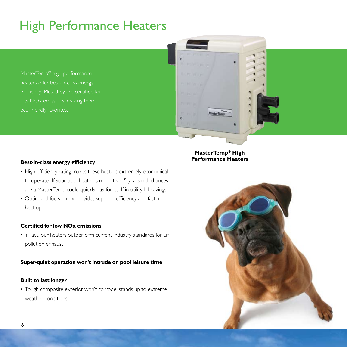# High Performance Heaters

MasterTemp® high performance heaters offer best-in-class energy low NOx emissions, making them



### **MasterTemp® High Performance Heaters**

#### **Best-in-class energy efficiency**

- High efficiency rating makes these heaters extremely economical to operate. If your pool heater is more than 5 years old, chances are a MasterTemp could quickly pay for itself in utility bill savings.
- Optimized fuel/air mix provides superior efficiency and faster heat up.

#### **Certified for low NOx emissions**

• In fact, our heaters outperform current industry standards for air pollution exhaust.

#### **Super-quiet operation won't intrude on pool leisure time**

#### **Built to last longer**

• Tough composite exterior won't corrode; stands up to extreme weather conditions.

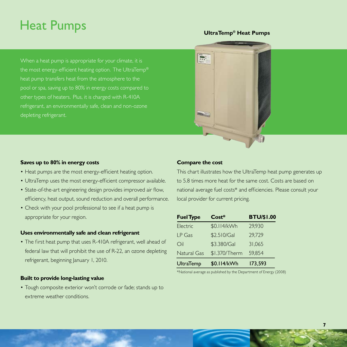### Heat Pumps

#### **UltraTemp® Heat Pumps**

When a heat pump is appropriate for your climate, it is the most energy-efficient heating option. The UltraTemp® heat pump transfers heat from the atmosphere to the pool or spa, saving up to 80% in energy costs compared to other types of heaters. Plus, it is charged with R-410A refrigerant, an environmentally safe, clean and non-ozone depleting refrigerant.

#### **Saves up to 80% in energy costs**

- Heat pumps are the most energy-efficient heating option.
- UltraTemp uses the most energy-efficient compressor available.
- State-of-the-art engineering design provides improved air flow, efficiency, heat output, sound reduction and overall performance.
- Check with your pool professional to see if a heat pump is appropriate for your region.

#### **Uses environmentally safe and clean refrigerant**

• The first heat pump that uses R-410A refrigerant, well ahead of federal law that will prohibit the use of R-22, an ozone depleting refrigerant, beginning January 1, 2010.

#### **Built to provide long-lasting value**

• Tough composite exterior won't corrode or fade; stands up to extreme weather conditions.

### **Compare the cost**

 $-2$ 

÷.

This chart illustrates how the UltraTemp heat pump generates up to 5.8 times more heat for the same cost. Costs are based on national average fuel costs\* and efficiencies. Please consult your local provider for current pricing.

| <b>Fuel Type</b> | $Cost*$       | <b>BTU/\$1.00</b> |
|------------------|---------------|-------------------|
| Electric         | \$0.114/kWh   | 29,930            |
| LP Gas           | \$2.510/Gal   | 29,729            |
| $\bigcirc$ il    | \$3.380/Gal   | 31,065            |
| Natural Gas      | \$1.370/Therm | 59,854            |
| <b>UltraTemp</b> | \$0.114/kWh   | 173,593           |

\*National average as published by the Depar tment of Energy (2008)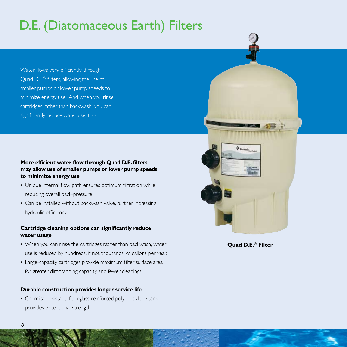# D.E. (Diatomaceous Earth) Filters

Water flows very efficiently through Quad D.E.® filters, allowing the use of smaller pumps or lower pump speeds to minimize energy use. And when you rinse cartridges rather than backwash, you can significantly reduce water use, too.

#### **More efficient water flow through Quad D.E. filters may allow use of smaller pumps or lower pump speeds to minimize energy use**

- Unique internal flow path ensures optimum filtration while reducing overall back-pressure.
- Can be installed without backwash valve, further increasing hydraulic efficiency.

#### **Cartridge cleaning options can significantly reduce water usage**

- When you can rinse the cartridges rather than backwash, water use is reduced by hundreds, if not thousands, of gallons per year.
- Large-capacity cartridges provide maximum filter surface area for greater dirt-trapping capacity and fewer cleanings.

#### **Durable construction provides longer service life**

• Chemical-resistant, fiberglass-reinforced polypropylene tank provides exceptional strength.





**Quad D.E.® Filter**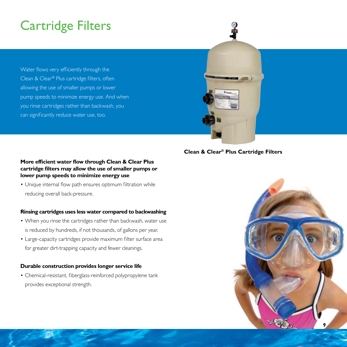## Cartridge Filters

Water flows very efficiently through the Clean & Clear® Plus cartridge filters, often allowing the use of smaller pumps or lower pump speeds to minimize energy use. And when you rinse cartridges rather than backwash, you can significantly reduce water use, too.



### **Clean & Clear® Plus Cartridge Filters**

### **More efficient water flow through Clean & Clear Plus cartridge filters may allow the use of smaller pumps or lower pump speeds to minimize energy use**

• Unique internal flow path ensures optimum filtration while reducing overall back-pressure.

#### **Rinsing cartridges uses less water compared to backwashing**

- When you rinse the cartridges rather than backwash, water use is reduced by hundreds, if not thousands, of gallons per year.
- Large-capacity cartridges provide maximum filter surface area for greater dirt-trapping capacity and fewer cleanings.

#### **Durable construction provides longer service life**

• Chemical-resistant, fiberglass-reinforced polypropylene tank provides exceptional strength.

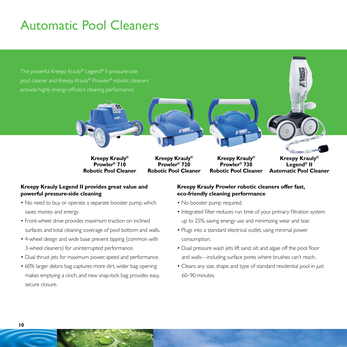### Automatic Pool Cleaners

The powerful Kreepy Krauly® Legend® II pressure-side pool cleaner and Kreepy Krauly® Prowler® robotic cleaners provide highly energy-efficient cleaning performance.



**Kreepy Krauly® Prowler® 710 Robotic Pool Cleaner**

**Kreepy Krauly® Prowler® 720 Robotic Pool Cleaner**

**Kreepy Krauly® Prowler® 730 Robotic Pool Cleaner**

**Kreepy Krauly® Legend® II Automatic Pool Cleaner**

### **Kreepy Krauly Legend II provides great value and powerful pressure-side cleaning**

- No need to buy or operate a separate booster pump, which saves money and energy.
- Front-wheel drive provides maximum traction on inclined surfaces and total cleaning coverage of pool bottom and walls.
- 4-wheel design and wide base prevent tipping (common with 3-wheel cleaners) for uninterrupted performance.
- Dual thrust jets for maximum power, speed and performance.
- 60% larger debris bag captures more dirt, wider bag opening makes emptying a cinch, and new snap-lock bag provides easy, secure closure.

#### **Kreepy Krauly Prowler robotic cleaners offer fast, eco-friendly cleaning performance**

- No booster pump required.
- Integrated filter reduces run time of your primary filtration system up to 25%, saving energy use and minimizing wear and tear.
- Plugs into a standard electrical outlet, using minimal power consumption.
- Dual pressure wash jets lift sand, silt and algae off the pool floor and walls—including surface pores where brushes can't reach.
- Cleans any size, shape and type of standard residential pool in just 60–90 minutes.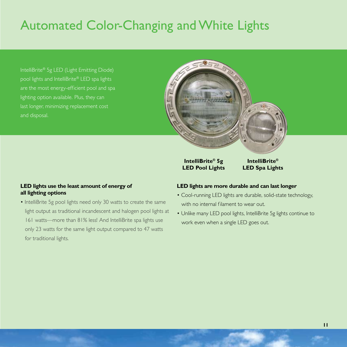### Automated Color-Changing and White Lights

IntelliBrite® 5g LED (Light Emitting Diode) pool lights and IntelliBrite® LED spa lights are the most energy-efficient pool and spa lighting option available. Plus, they can last longer, minimizing replacement cost and disposal.

### **LED lights use the least amount of energy of all lighting options**

• IntelliBrite 5g pool lights need only 30 watts to create the same light output as traditional incandescent and halogen pool lights at 161 watts—more than 81% less! And IntelliBrite spa lights use only 23 watts for the same light output compared to 47 watts for traditional lights.

#### **LED lights are more durable and can last longer**

**IntelliBrite® 5g LED Pool Lights**

• Cool-running LED lights are durable, solid-state technology, with no internal filament to wear out.

**IntelliBrite® LED Spa Lights**

 $\mathcal{U}(\mathbf{r})$ 

• Unlike many LED pool lights, IntelliBrite 5g lights continue to work even when a single LED goes out.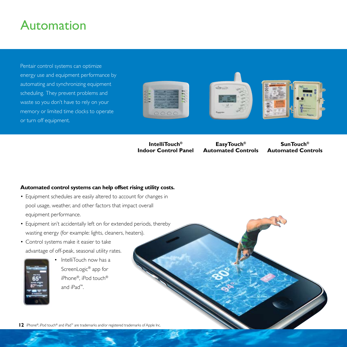### Automation

Pentair control systems can optimize energy use and equipment performance by automating and synchronizing equipment scheduling. They prevent problems and waste so you don't have to rely on your memory or limited time clocks to operate or turn off equipment.







**IntelliTouch® Indoor Control Panel**

**EasyTouch® Automated Controls**

**SunTouch® Automated Controls**

#### **Automated control systems can help offset rising utility costs.**

- Equipment schedules are easily altered to account for changes in pool usage, weather, and other factors that impact overall equipment performance.
- Equipment isn't accidentally left on for extended periods, thereby wasting energy (for example: lights, cleaners, heaters).
- Control systems make it easier to take advantage of off-peak, seasonal utility rates.



IntelliTouch now has a ScreenLogic® app for iPhone®, iPod touch® and iPad™.

**12** iPhone®, iPod touch® and iPad™ are trademarks and/or registered trademarks of Apple Inc.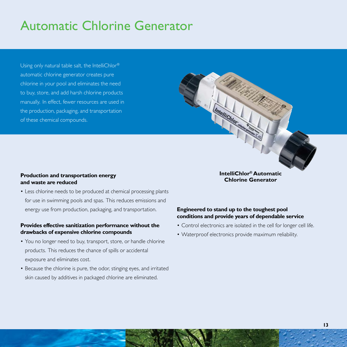### Automatic Chlorine Generator

Using only natural table salt, the IntelliChlor® automatic chlorine generator creates pure chlorine in your pool and eliminates the need to buy, store, and add harsh chlorine products manually. In effect, fewer resources are used in the production, packaging, and transportation of these chemical compounds.

#### **Production and transportation energy and waste are reduced**

• Less chlorine needs to be produced at chemical processing plants for use in swimming pools and spas. This reduces emissions and energy use from production, packaging, and transportation.

#### **Provides effective sanitization performance without the drawbacks of expensive chlorine compounds**

- You no longer need to buy, transport, store, or handle chlorine products. This reduces the chance of spills or accidental exposure and eliminates cost.
- Because the chlorine is pure, the odor, stinging eyes, and irritated skin caused by additives in packaged chlorine are eliminated.

**IntelliChlor® Automatic Chlorine Generator**

#### **Engineered to stand up to the toughest pool conditions and provide years of dependable service**

Imellichlor

- Control electronics are isolated in the cell for longer cell life.
- Waterproof electronics provide maximum reliability.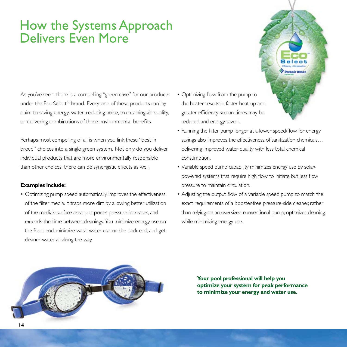### How the Systems Approach Delivers Even More

As you've seen, there is a compelling "green case" for our products under the Eco Select<sup>™</sup> brand. Every one of these products can lay claim to saving energy, water, reducing noise, maintaining air quality, or delivering combinations of these environmental benefits.

Perhaps most compelling of all is when you link these "best in breed" choices into a single green system. Not only do you deliver individual products that are more environmentally responsible than other choices, there can be synergistic effects as well.

#### **Examples include:**

• Optimizing pump speed automatically improves the effectiveness of the filter media. It traps more dirt by allowing better utilization of the media's surface area, postpones pressure increases, and extends the time between cleanings. You minimize energy use on the front end, minimize wash water use on the back end, and get cleaner water all along the way.

- Optimizing flow from the pump to the heater results in faster heat-up and greater efficiency so run times may be reduced and energy saved.
- Running the filter pump longer at a lower speed/flow for energy savings also improves the effectiveness of sanitization chemicals… delivering improved water quality with less total chemical consumption.

Pentair Water

- Variable speed pump capability minimizes energy use by solar- powered systems that require high flow to initiate but less flow pressure to maintain circulation.
- Adjusting the output flow of a variable speed pump to match the exact requirements of a booster-free pressure-side cleaner, rather than relying on an oversized conventional pump, optimizes cleaning while minimizing energy use.



**Your pool professional will help you optimize your system for peak performance to minimize your energy and water use.**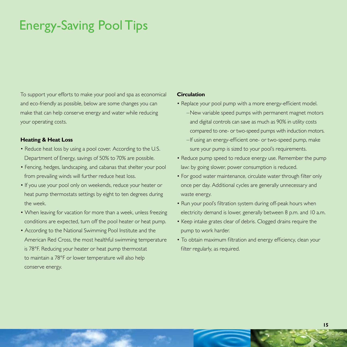### Energy-Saving Pool Tips

To support your efforts to make your pool and spa as economical and eco-friendly as possible, below are some changes you can make that can help conserve energy and water while reducing your operating costs.

#### **Heating & Heat Loss**

- Reduce heat loss by using a pool cover. According to the U.S. Department of Energy, savings of 50% to 70% are possible.
- Fencing, hedges, landscaping, and cabanas that shelter your pool from prevailing winds will further reduce heat loss.
- If you use your pool only on weekends, reduce your heater or heat pump thermostats settings by eight to ten degrees during the week.
- When leaving for vacation for more than a week, unless freezing conditions are expected, turn off the pool heater or heat pump.
- According to the National Swimming Pool Institute and the American Red Cross, the most healthful swimming temperature is 78°F. Reducing your heater or heat pump thermostat to maintain a 78°F or lower temperature will also help conserve energy.

#### **Circulation**

- Replace your pool pump with a more energy-efficient model.
	- –New variable speed pumps with permanent magnet motors and digital controls can save as much as 90% in utility costs compared to one- or two-speed pumps with induction motors.
		- –If using an energy-efficient one- or two-speed pump, make sure your pump is sized to your pool's requirements.
- Reduce pump speed to reduce energy use. Remember the pump law: by going slower, power consumption is reduced.
- For good water maintenance, circulate water through filter only once per day. Additional cycles are generally unnecessary and waste energy.
- Run your pool's filtration system during off-peak hours when electricity demand is lower, generally between 8 p.m. and 10 a.m.
- Keep intake grates clear of debris. Clogged drains require the pump to work harder.
- To obtain maximum filtration and energy efficiency, clean your filter regularly, as required.